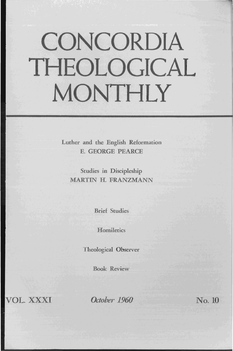# **CONCORDIA THEOLOGICAL MONTHLY**

Luther and the English Reformation E. GEORGE PEARCE

Studies in Discipleship MARTIN H. FRANZMANN

Brief Studies

**Homiletics** 

Theological Observer

Book Review

VOL. XXXI

*October 1960* No. 10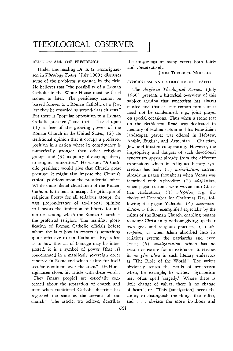## THEOLOGICAL **OBSERVER**

#### RELIGION AND THE PRESIDENCY

Under this heading Dr. E. G. Homrighausen in *Theology Today* (July 1960) discusses some of the problems suggested by the title. He believes that "the possibility of a Roman Catholic in the White House must be faced sooner or later. The presidency cannot be barred forever to a Roman Catholic or a Jew, lest they be regarded as second-class citizens." But there is "popular opposition to a Roman Catholic president," and that is "based upon  $(1)$  a fear of the growing power of the Roman Church in the United States; (2) its traditional opinion that it occupy a preferred position in a nation where its constituency is numerically stronger than other religious groups; and (3) its policy of denying liberty to religious minorities." He writes: "A Catholic president would give that Church great prestige; it might also impose the Church's ethical positions upon the presidential office. While some liberal churchmen of the Roman Catholic faith tend to accept the principle of religious liberty for all religious groups, the vast preponderance of traditional opinion still favors the limitation of liberty for minorities among which the Roman Church is the preferred religion. The manifest glorification of Roman Catholic officials before whom the laity bow in respect is something quite offensive to non-Catholics. Regardless as to how this act of homage may be interpreted, it is a symbol of power [that is} concentrated in a manifestly sovereign order centered in Rome and which claims for itself secular dominion over the state." Dr. Homrighausen closes his article with these words: "They [many people} are especially concerned about the separation of church and state when traditional Catholic doctrine has regarded the state as the servant of the church." The article, we believe, describes

644

the misgivings of many voters both fairly and conservatively.

#### JOHN THEODORE MUELLER

#### SYNCRETISM AND MONOTHEISTIC FAITH

The *Anglican Theological Review* (July 1960) presents a historical overview of this subject arguing that syncretism has always existed and that at least certain forms of it need not be condemned, e. g., joint prayer on special occasions. Thus when a stone seat on the Bethlehem Road was dedicated in memory of Holman Hunt and his Palestinian landscapes, prayer was offered in Hebrew, Arabic, English, and Armenian - Christian, Jew, and Muslim co-operating. However, the impropriety and dangers of such devotional syncretism appear already from the different expressions which in religious history syncretism has had: (1) *assimilation,* current already in pagan thought as when Venus was identified with Aphrodite; (2) *adaptation,*  when pagan customs were woven into Christian celebrations; (3) *adoption,* e. g., the choice of December for Christmas Day, following the pagan Yuletide; (4) *accommodation,* as this is exemplified especially by the cultus of the Roman Church, enabling pagans to adopt Christianity without giving up their own gods and religious practices; (5) *absorption,* as when Islam absorbed into its religious system the patriarchs and even Jesus; (6) *amalgamation,* which has no reason or excuse for its existence. It reaches its *ne plus ultra* in such literary endeavors as "The Bible of the World." The writer obviously senses the perils of syncretism when, for example, he writes: "Syncretism may often spell 'tragedy.' Where there is little change of values, there is no change of heart"; or: "This [amalgation} needs the ability to distinguish the things that differ, and . . . obviate the more insidious and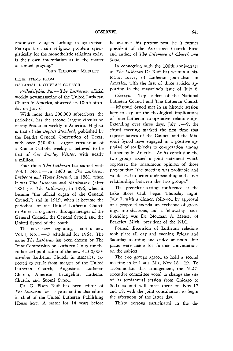unforeseen dangers lurking in syncretism. Perhaps the main religious problem synergistically for the monotheistic religions today is their own interrelation as in the matter of united praying."

JOHN THEODORE MUELLER

#### BRIEF ITEMS FROM

### NATIONAL LUTHERAN COUNCIL

*Philadelphia, Pa.* - *The Lutheran,* official weekly newsmagazine of the United Lutheran Church in America, observed its 100th birthday on July 6.

With more than 200,000 subscribers, the periodical has the second largest circulation of any Protestant weekly in America. Highest is that of the *Baptist Standard,* published by the Baptist General Convention of Texas, with over 350,000. Largest circulation of a Roman Catholic weekly is believed to be that of *Our Sunday Visitor,* with nearly a million.

Four times *The Lutheran* has started with Vol. 1, No. I-in 1860 as *The Lutheran,*  Lutheran and Home Journal; in 1861, when it was *The Lutheran and Missionary* (after 1881 just *The Lutheran);* in 1896, when it became "the official organ of the General Council"; and in 1919, when it became the periodical of the United Lutheran Church in America, organized through merger of the General Council, the General Synod, and the United Synod of the South.

The next new beginning  $-$  and a new Vol. 1, No.  $1 -$  is scheduled for 1963. The name *The Lutheran* has been chosen by The Joint Commission on Lutheran Unity for the authorized publication of the new 3,100,000 member Lutheran Church in America, expected to result from merger of the United Lutheran Church, Augustana Lutheran Church, American Evangelical Lutheran Church, and Suomi Synod.

Dr. G. Elson Ruff has been editor of *The Lutheran* for 15 years and is also editor in chief of the United Lutheran Publishing House here. A pastor for 14 years before he assumed his present post, he is former president of the Associated Church Press and author of *The Dilemma of Church and State.* 

In connection with the 100th anniversary of *The Lutheran* Dr. Ruff has written a historical survey of Lutheran journalism in America, with the first of three articles appearing in the magazine's issue of July 6.

Chicago. - Top leaders of the National Lutheran Council and The Lutheran Church - Missouri Synod met *in* an historic session here to explore the theological implications of inter-Lutheran co-operative relationships. Extending over three days, July  $7-9$ , the closed meeting marked the first time that representatives of the Council and the Missouri Synod have engaged in a positive appraisal of roadblocks to co-operation among Lutherans in America. At its conclusion the two groups issued a joint statement which expressed the unanimous opinion of those present that "the meeting was profitable and would lead to better understanding and closer relationships between the two groups."

The precedent-setting conference at the Lake Shore Club began Thursday night, July 7, with a dinner, followed by approval of a proposed agenda, an exchange of greetings, introductions, and a fellowship hour. Presiding was Dr. Norman A. Menter of Berkeley, Mich., president of the NLC.

Formal discussion of Lutheran relations took place all day and evening Friday and Saturday morning and ended at noon after plans were made for further conversations on the subject.

The two groups agreed to hold a second meeting in St. Louis, Mo., Nov. 18-19. To accommodate this arrangement, the NLC's executive committee voted to change the site of its semiannual session from Chicago to St. Louis and will meet there on Nov. 17 and 18, with the joint consultation to begin the afternoon of the latter day.

Thirty persons participated in the de-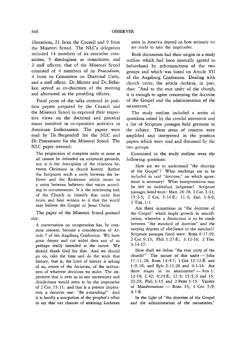liberations, 21 from the Council and 9 from the Missouri Synod. The NLC's delegation included 14 members of its executive committee, 5 theologians as consultants, and 2 staff officers; that of the Missouri Synod consisted of 4 members of its *Praesidium,*  4 from its Committee on Doctrinal Unity, and a staff officer. Dr. Menter and Dr. Behnken served as co-chairmen of the meeting and alternated as the presiding officers.

Focal point of the talks centered in position papers prepared by the Council and the Missouri Synod to expound their respective views on the doctrinal and practical issues involved in co-operative activities in American Lutheranism. The papers were read by Dr. Bergendoff for the NLC and Dr. Franzmann for the Missouri Synod. The NLC paper stressed:

The proposition of complete unity or none at all cannot be defended on scriptural grounds, nor is *it* the description of the relations between Christians in church history. Rather the Scriprures teach a unity between the believer and the Redeemer which *issues* in a unity between believers that varies according to circumstances. It is the continuing task of the Church to identify that unity that exists and bear witness to it that the world may believe the Gospel of Jesus Christ.

The paper of the Missouri Synod pointed out:

A conversation on co-operation has, by common consent, become a consideration of Article 7 of the Augsburg Confession. We have gone deeper and cut wider then any of us perhaps really intended at the outset. We should thank God for that. And we should go on, take the time and do the work that history, that is, the Lord of history is asking of us, aware of the decisions, of the seriousness of whatever decisions we make. The imperative that is over us in our uncertainty and dividedness would seem to be the imperative of 2 Cor. 13: 11: and that is a present imperative, a durative one: "Be a-mending!" And it is hardly a usurpation of the prophet's office to say that our chances of attaining Lutheran unity in America depend on how seriously we are ready to take the imperative.

Both documents had their origin in a srudy outline which had been mutually agreed to beforehand by subcommittees of the two groups and which was based on Article VII of the Augsburg Confession. Dealing with church unity, the article declares, in part, that: "And to the true unity of the church, it is enough to agree concerning the doctrine of the Gospel and the administration of the sacraments."

The study outline included a series of questions raised by the creedal statement and a list of Scripture passages held germane to the subject. These areas of concern were amplified and interpreted in the position papers which were read and discussed by the two groups.

Contained in the study oudine were the following questions:

How are we to understand "the doctrine of the Gospel"? What teachings are to be included in said "doctrine," on which agreement is necessary? What interpretations may be left to individual judgment? Scripture passages listed were: Matt. 28:20; 1 Cor. 3:11; 15:3-5; 2 Cor. 5:16ff.; 11:4; Gal. 1:6-9; 2 Tim. 1:l.

Are there injunctions in "the doctrine of the Gospel" which imply growth in sanctification, wherefor a distinction is to be made between "the standard of doctrine" and the varying degrees of obedience to the standard? Scriprure passages listed were: Rom. 6:17-19; 2 Cor. 9:13; Phil.l:27 ff.; 3:12-16; 2 Tim. 3:14-17.

How shall we define "the true unity of the church?" The nature of this unity- John 17:11,20; Rom. 14:4-7; lCor.12:12ff. and 1:9,10; and Eph.2:11-20 and 4:1-16. Are there stages in its attainment?  $-$  Acts 1: 12-14; 2:42; 4:24 ff.; 12:5; 15 :5, 6 and 15: 22-29; Phil. 3:15 and 2 Peter 3:15. Variety of Manifestations  $-$  Rom. 15; 1 Cor. 3:9;  $4:1 \text{ ff.}$ 

In the light of "the doctrine of the Gospel and the administration of the sacraments,"